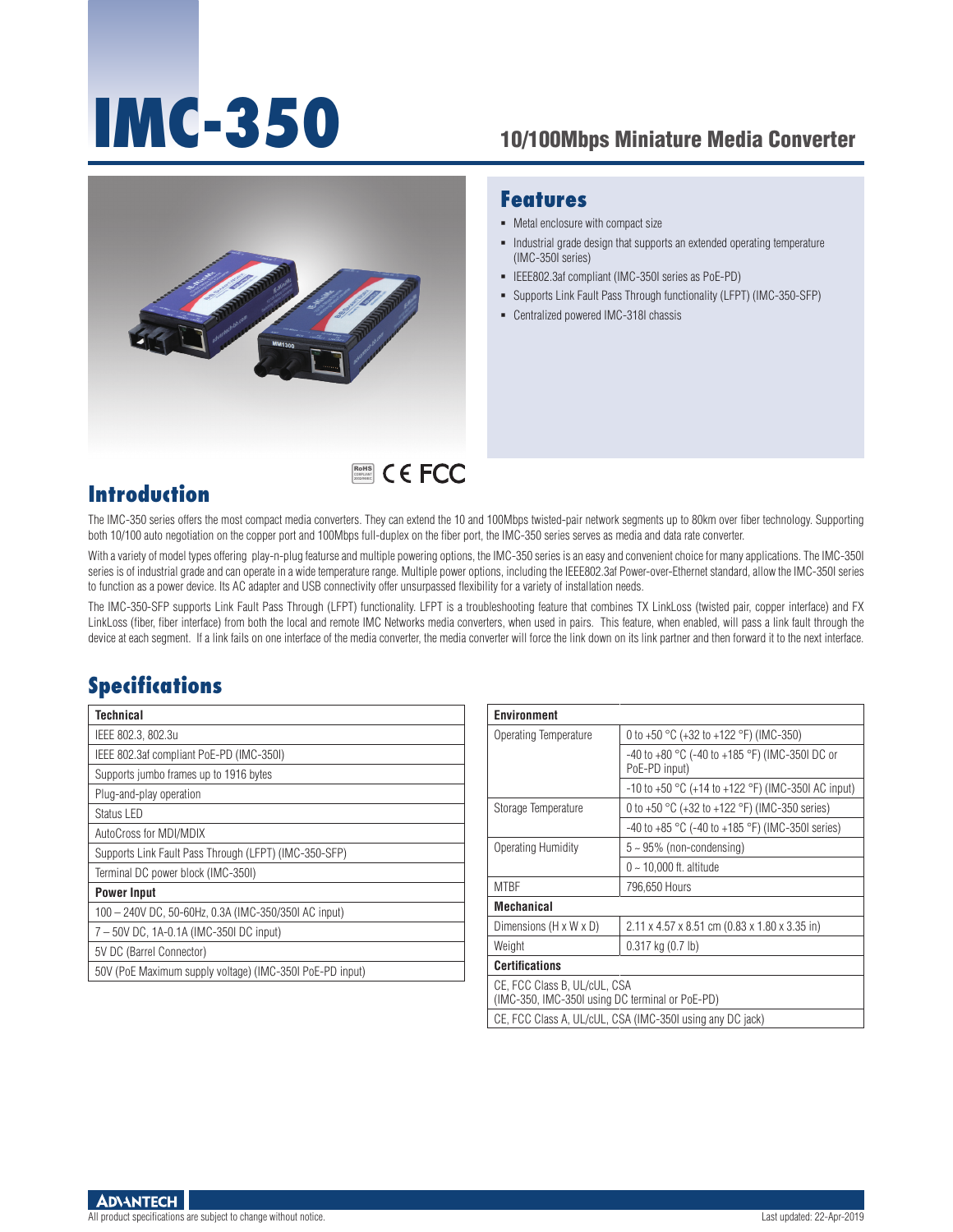# **IMC-350** 10/100Mbps Miniature Media Converter



RoHS **COMPLIANT** 2002/95/EC

#### **Features**

- $\blacksquare$  Metal enclosure with compact size
- Industrial grade design that supports an extended operating temperature (IMC-350I series)
- IEEE802.3af compliant (IMC-350I series as PoE-PD)
- Supports Link Fault Pass Through functionality (LFPT) (IMC-350-SFP)
- Centralized powered IMC-318I chassis

## **Introduction**

The IMC-350 series offers the most compact media converters. They can extend the 10 and 100Mbps twisted-pair network segments up to 80km over fiber technology. Supporting both 10/100 auto negotiation on the copper port and 100Mbps full-duplex on the fiber port, the IMC-350 series serves as media and data rate converter.

With a variety of model types offering play-n-plug featurse and multiple powering options, the IMC-350 series is an easy and convenient choice for many applications. The IMC-350I series is of industrial grade and can operate in a wide temperature range. Multiple power options, including the IEEE802.3af Power-over-Ethernet standard, allow the IMC-350I series to function as a power device. Its AC adapter and USB connectivity offer unsurpassed flexibility for a variety of installation needs.

The IMC-350-SFP supports Link Fault Pass Through (LFPT) functionality. LFPT is a troubleshooting feature that combines TX LinkLoss (twisted pair, copper interface) and FX LinkLoss (fiber, fiber interface) from both the local and remote IMC Networks media converters, when used in pairs. This feature, when enabled, will pass a link fault through the device at each segment. If a link fails on one interface of the media converter, the media converter will force the link down on its link partner and then forward it to the next interface.

# **Specifications**

| Technical                                                |  |  |  |
|----------------------------------------------------------|--|--|--|
| IEEE 802.3, 802.3u                                       |  |  |  |
| IEEE 802.3af compliant PoE-PD (IMC-350I)                 |  |  |  |
| Supports jumbo frames up to 1916 bytes                   |  |  |  |
| Plug-and-play operation                                  |  |  |  |
| Status LED                                               |  |  |  |
| AutoCross for MDI/MDIX                                   |  |  |  |
| Supports Link Fault Pass Through (LFPT) (IMC-350-SFP)    |  |  |  |
| Terminal DC power block (IMC-350I)                       |  |  |  |
| <b>Power Input</b>                                       |  |  |  |
| 100 - 240V DC, 50-60Hz, 0.3A (IMC-350/350I AC input)     |  |  |  |
| 7-50V DC, 1A-0.1A (IMC-350I DC input)                    |  |  |  |
| 5V DC (Barrel Connector)                                 |  |  |  |
| 50V (PoE Maximum supply voltage) (IMC-350I PoE-PD input) |  |  |  |

| <b>Environment</b>                                                              |                                                                                     |  |  |  |
|---------------------------------------------------------------------------------|-------------------------------------------------------------------------------------|--|--|--|
| Operating Temperature                                                           | 0 to +50 $^{\circ}$ C (+32 to +122 $^{\circ}$ F) (IMC-350)                          |  |  |  |
|                                                                                 | -40 to +80 $^{\circ}$ C (-40 to +185 $^{\circ}$ F) (IMC-350I DC or<br>PoE-PD input) |  |  |  |
|                                                                                 | $-10$ to $+50$ °C (+14 to $+122$ °F) (IMC-350I AC input)                            |  |  |  |
| Storage Temperature                                                             | 0 to +50 $^{\circ}$ C (+32 to +122 $^{\circ}$ F) (IMC-350 series)                   |  |  |  |
|                                                                                 | $-40$ to $+85$ °C ( $-40$ to $+185$ °F) (IMC-350I series)                           |  |  |  |
| Operating Humidity                                                              | $5 \sim 95\%$ (non-condensing)                                                      |  |  |  |
|                                                                                 | $0 \sim 10,000$ ft. altitude                                                        |  |  |  |
| <b>MTBF</b>                                                                     | 796,650 Hours                                                                       |  |  |  |
| <b>Mechanical</b>                                                               |                                                                                     |  |  |  |
| Dimensions (H x W x D)                                                          | 2.11 x 4.57 x 8.51 cm (0.83 x 1.80 x 3.35 in)                                       |  |  |  |
| Weight                                                                          | $0.317$ kg $(0.7$ lb)                                                               |  |  |  |
| <b>Certifications</b>                                                           |                                                                                     |  |  |  |
| CE, FCC Class B, UL/cUL, CSA<br>(IMC-350, IMC-350I using DC terminal or PoE-PD) |                                                                                     |  |  |  |
| CE, FCC Class A, UL/cUL, CSA (IMC-350I using any DC jack)                       |                                                                                     |  |  |  |

**ADVANTECH** 

All product specifications are subject to change without notice. Contact the change without notice.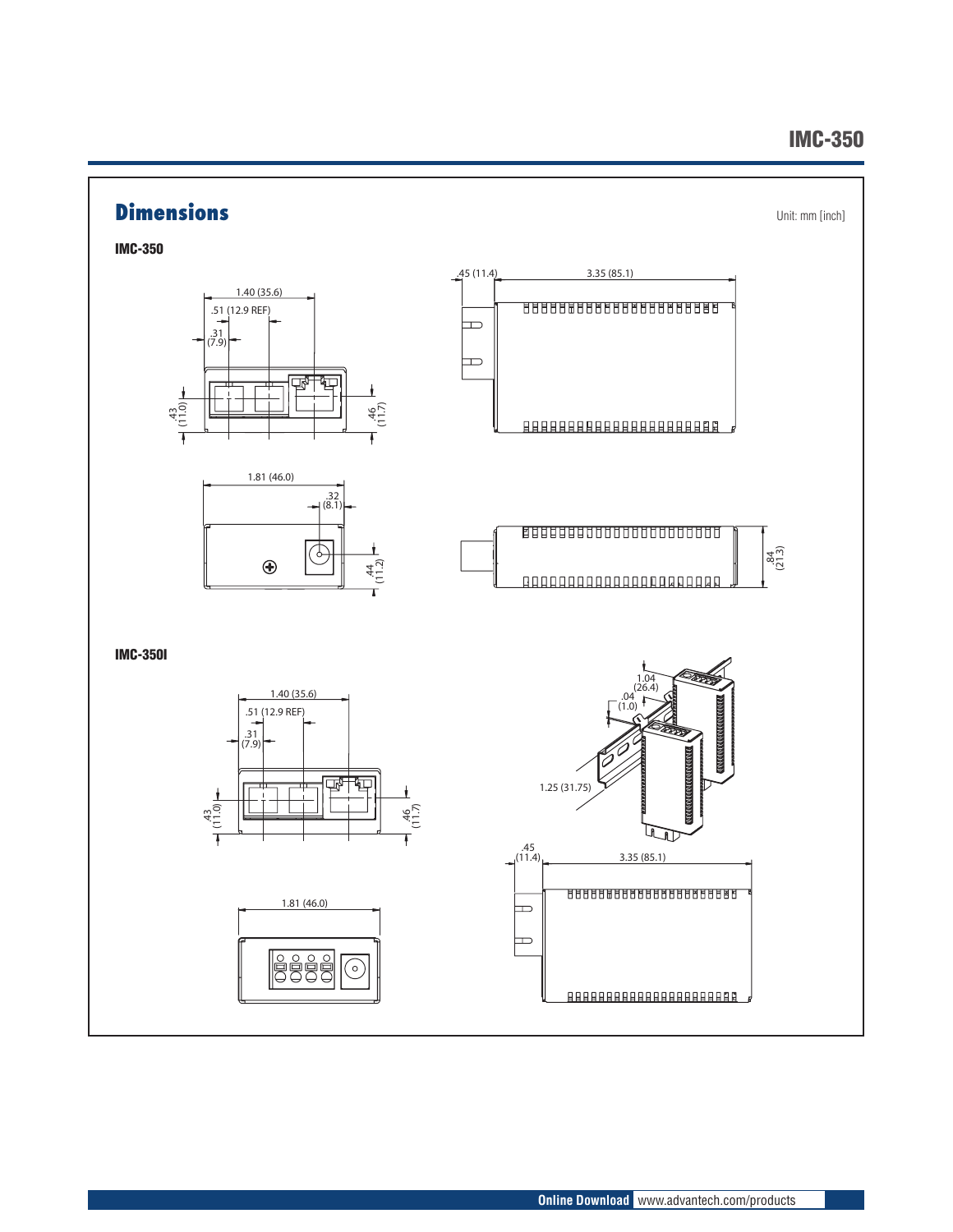#### IMC-350